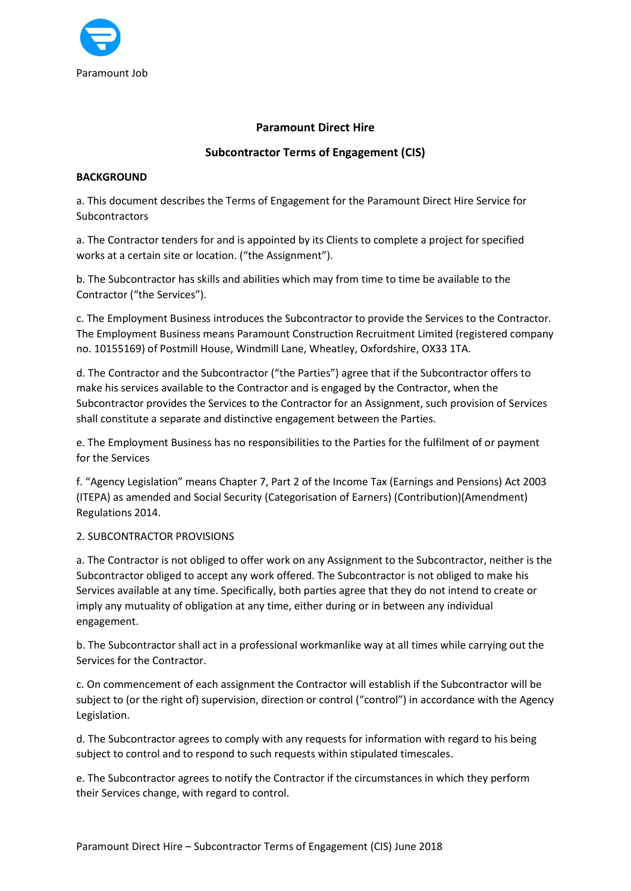

## Paramount Direct Hire

# Subcontractor Terms of Engagement (CIS)

### **BACKGROUND**

a. This document describes the Terms of Engagement for the Paramount Direct Hire Service for **Subcontractors** 

a. The Contractor tenders for and is appointed by its Clients to complete a project for specified works at a certain site or location. ("the Assignment").

b. The Subcontractor has skills and abilities which may from time to time be available to the Contractor ("the Services").

c. The Employment Business introduces the Subcontractor to provide the Services to the Contractor. The Employment Business means Paramount Construction Recruitment Limited (registered company no. 10155169) of Postmill House, Windmill Lane, Wheatley, Oxfordshire, OX33 1TA.

d. The Contractor and the Subcontractor ("the Parties") agree that if the Subcontractor offers to make his services available to the Contractor and is engaged by the Contractor, when the Subcontractor provides the Services to the Contractor for an Assignment, such provision of Services shall constitute a separate and distinctive engagement between the Parties.

e. The Employment Business has no responsibilities to the Parties for the fulfilment of or payment for the Services

f. "Agency Legislation" means Chapter 7, Part 2 of the Income Tax (Earnings and Pensions) Act 2003 (ITEPA) as amended and Social Security (Categorisation of Earners) (Contribution)(Amendment) Regulations 2014.

#### 2. SUBCONTRACTOR PROVISIONS

a. The Contractor is not obliged to offer work on any Assignment to the Subcontractor, neither is the Subcontractor obliged to accept any work offered. The Subcontractor is not obliged to make his Services available at any time. Specifically, both parties agree that they do not intend to create or imply any mutuality of obligation at any time, either during or in between any individual engagement.

b. The Subcontractor shall act in a professional workmanlike way at all times while carrying out the Services for the Contractor.

c. On commencement of each assignment the Contractor will establish if the Subcontractor will be subject to (or the right of) supervision, direction or control ("control") in accordance with the Agency Legislation.

d. The Subcontractor agrees to comply with any requests for information with regard to his being subject to control and to respond to such requests within stipulated timescales.

e. The Subcontractor agrees to notify the Contractor if the circumstances in which they perform their Services change, with regard to control.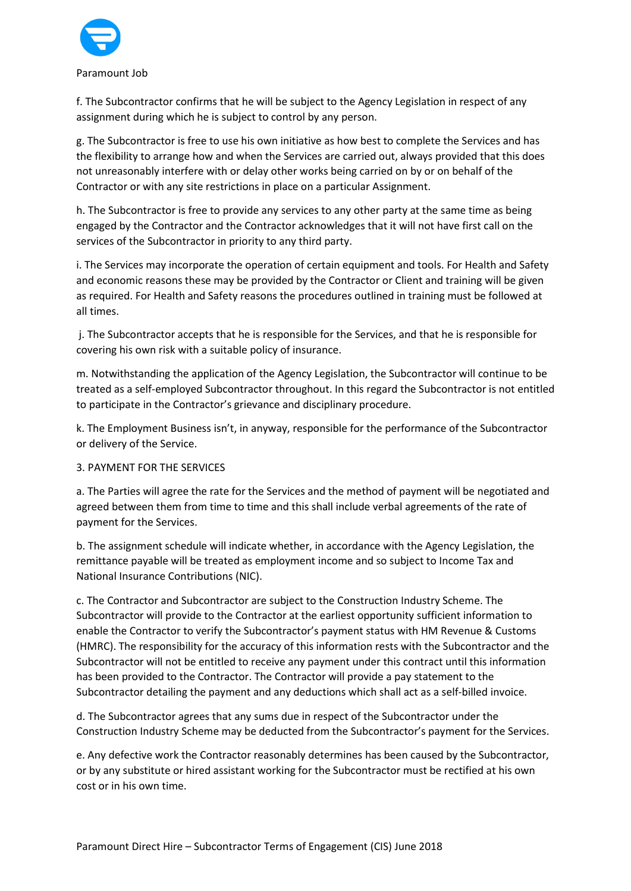

f. The Subcontractor confirms that he will be subject to the Agency Legislation in respect of any assignment during which he is subject to control by any person.

g. The Subcontractor is free to use his own initiative as how best to complete the Services and has the flexibility to arrange how and when the Services are carried out, always provided that this does not unreasonably interfere with or delay other works being carried on by or on behalf of the Contractor or with any site restrictions in place on a particular Assignment.

h. The Subcontractor is free to provide any services to any other party at the same time as being engaged by the Contractor and the Contractor acknowledges that it will not have first call on the services of the Subcontractor in priority to any third party.

i. The Services may incorporate the operation of certain equipment and tools. For Health and Safety and economic reasons these may be provided by the Contractor or Client and training will be given as required. For Health and Safety reasons the procedures outlined in training must be followed at all times.

 j. The Subcontractor accepts that he is responsible for the Services, and that he is responsible for covering his own risk with a suitable policy of insurance.

m. Notwithstanding the application of the Agency Legislation, the Subcontractor will continue to be treated as a self-employed Subcontractor throughout. In this regard the Subcontractor is not entitled to participate in the Contractor's grievance and disciplinary procedure.

k. The Employment Business isn't, in anyway, responsible for the performance of the Subcontractor or delivery of the Service.

#### 3. PAYMENT FOR THE SERVICES

a. The Parties will agree the rate for the Services and the method of payment will be negotiated and agreed between them from time to time and this shall include verbal agreements of the rate of payment for the Services.

b. The assignment schedule will indicate whether, in accordance with the Agency Legislation, the remittance payable will be treated as employment income and so subject to Income Tax and National Insurance Contributions (NIC).

c. The Contractor and Subcontractor are subject to the Construction Industry Scheme. The Subcontractor will provide to the Contractor at the earliest opportunity sufficient information to enable the Contractor to verify the Subcontractor's payment status with HM Revenue & Customs (HMRC). The responsibility for the accuracy of this information rests with the Subcontractor and the Subcontractor will not be entitled to receive any payment under this contract until this information has been provided to the Contractor. The Contractor will provide a pay statement to the Subcontractor detailing the payment and any deductions which shall act as a self-billed invoice.

d. The Subcontractor agrees that any sums due in respect of the Subcontractor under the Construction Industry Scheme may be deducted from the Subcontractor's payment for the Services.

e. Any defective work the Contractor reasonably determines has been caused by the Subcontractor, or by any substitute or hired assistant working for the Subcontractor must be rectified at his own cost or in his own time.